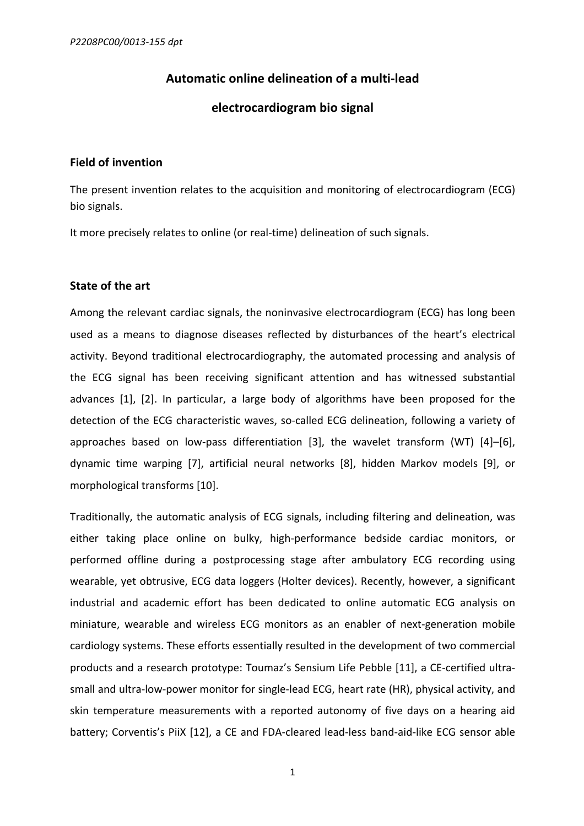# **Automatic online delineation of a multi-lead**

## **electrocardiogram bio signal**

### **Field of invention**

The present invention relates to the acquisition and monitoring of electrocardiogram (ECG) bio signals.

It more precisely relates to online (or real-time) delineation of such signals.

## **State of the art**

Among the relevant cardiac signals, the noninvasive electrocardiogram (ECG) has long been used as a means to diagnose diseases reflected by disturbances of the heart's electrical activity. Beyond traditional electrocardiography, the automated processing and analysis of the ECG signal has been receiving significant attention and has witnessed substantial advances  $[1]$ ,  $[2]$ . In particular, a large body of algorithms have been proposed for the detection of the ECG characteristic waves, so-called ECG delineation, following a variety of approaches based on low-pass differentiation  $[3]$ , the wavelet transform  $(WT)$   $[4]$ – $[6]$ , dynamic time warping [7], artificial neural networks [8], hidden Markov models [9], or morphological transforms [10].

Traditionally, the automatic analysis of ECG signals, including filtering and delineation, was either taking place online on bulky, high-performance bedside cardiac monitors, or performed offline during a postprocessing stage after ambulatory ECG recording using wearable, yet obtrusive, ECG data loggers (Holter devices). Recently, however, a significant industrial and academic effort has been dedicated to online automatic ECG analysis on miniature, wearable and wireless ECG monitors as an enabler of next-generation mobile cardiology systems. These efforts essentially resulted in the development of two commercial products and a research prototype: Toumaz's Sensium Life Pebble [11], a CE-certified ultrasmall and ultra-low-power monitor for single-lead ECG, heart rate (HR), physical activity, and skin temperature measurements with a reported autonomy of five days on a hearing aid battery; Corventis's PiiX [12], a CE and FDA-cleared lead-less band-aid-like ECG sensor able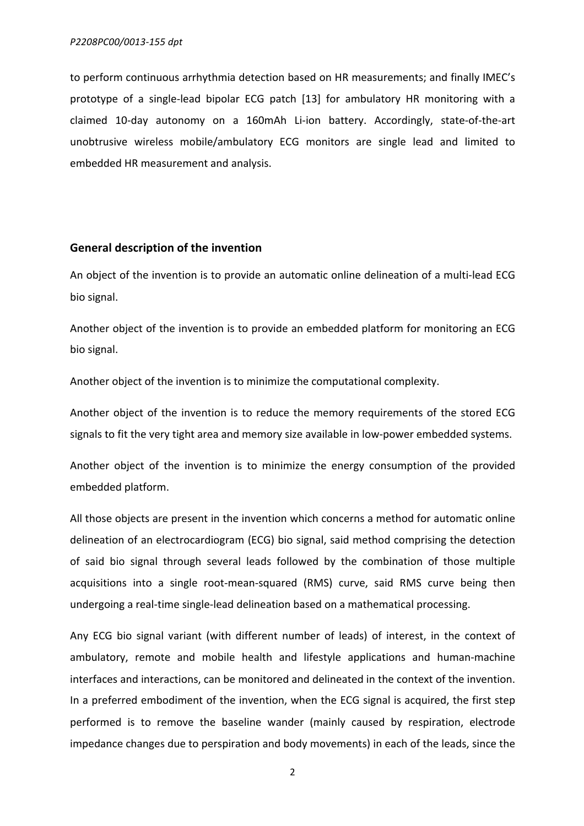to perform continuous arrhythmia detection based on HR measurements; and finally IMEC's prototype of a single-lead bipolar ECG patch [13] for ambulatory HR monitoring with a claimed 10-day autonomy on a 160mAh Li-ion battery. Accordingly, state-of-the-art unobtrusive wireless mobile/ambulatory ECG monitors are single lead and limited to embedded HR measurement and analysis.

### **General description of the invention**

An object of the invention is to provide an automatic online delineation of a multi-lead ECG bio signal.

Another object of the invention is to provide an embedded platform for monitoring an ECG bio signal.

Another object of the invention is to minimize the computational complexity.

Another object of the invention is to reduce the memory requirements of the stored ECG signals to fit the very tight area and memory size available in low-power embedded systems.

Another object of the invention is to minimize the energy consumption of the provided embedded platform.

All those objects are present in the invention which concerns a method for automatic online delineation of an electrocardiogram (ECG) bio signal, said method comprising the detection of said bio signal through several leads followed by the combination of those multiple acquisitions into a single root-mean-squared (RMS) curve, said RMS curve being then undergoing a real-time single-lead delineation based on a mathematical processing.

Any ECG bio signal variant (with different number of leads) of interest, in the context of ambulatory, remote and mobile health and lifestyle applications and human-machine interfaces and interactions, can be monitored and delineated in the context of the invention. In a preferred embodiment of the invention, when the ECG signal is acquired, the first step performed is to remove the baseline wander (mainly caused by respiration, electrode impedance changes due to perspiration and body movements) in each of the leads, since the

2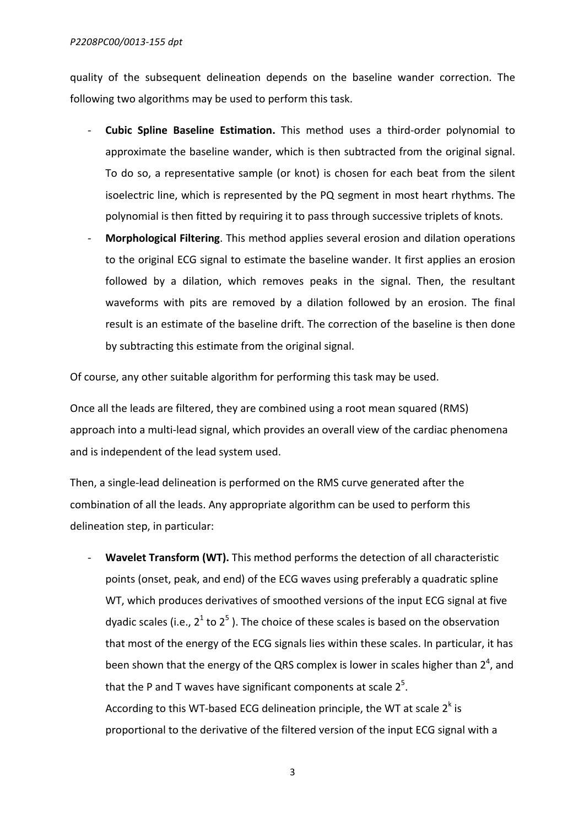#### *P2208PC00/0013-155 dpt*

quality of the subsequent delineation depends on the baseline wander correction. The following two algorithms may be used to perform this task.

- **Cubic Spline Baseline Estimation.** This method uses a third-order polynomial to approximate the baseline wander, which is then subtracted from the original signal. To do so, a representative sample (or knot) is chosen for each beat from the silent isoelectric line, which is represented by the PQ segment in most heart rhythms. The polynomial is then fitted by requiring it to pass through successive triplets of knots.
- **Morphological Filtering**. This method applies several erosion and dilation operations to the original ECG signal to estimate the baseline wander. It first applies an erosion followed by a dilation, which removes peaks in the signal. Then, the resultant waveforms with pits are removed by a dilation followed by an erosion. The final result is an estimate of the baseline drift. The correction of the baseline is then done by subtracting this estimate from the original signal.

Of course, any other suitable algorithm for performing this task may be used.

Once all the leads are filtered, they are combined using a root mean squared (RMS) approach into a multi-lead signal, which provides an overall view of the cardiac phenomena and is independent of the lead system used.

Then, a single-lead delineation is performed on the RMS curve generated after the combination of all the leads. Any appropriate algorithm can be used to perform this delineation step, in particular:

- **Wavelet Transform (WT).** This method performs the detection of all characteristic points (onset, peak, and end) of the ECG waves using preferably a quadratic spline WT, which produces derivatives of smoothed versions of the input ECG signal at five dyadic scales (i.e.,  $2^1$  to  $2^5$ ). The choice of these scales is based on the observation that most of the energy of the ECG signals lies within these scales. In particular, it has been shown that the energy of the QRS complex is lower in scales higher than 2<sup>4</sup>, and that the P and T waves have significant components at scale  $2^5$ . According to this WT-based ECG delineation principle, the WT at scale  $2<sup>k</sup>$  is proportional to the derivative of the filtered version of the input ECG signal with a

3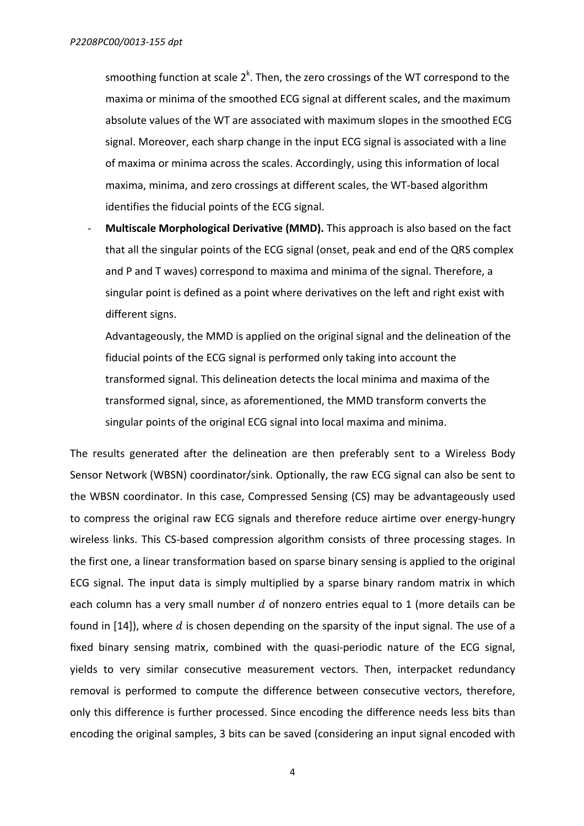smoothing function at scale  $2^k$ . Then, the zero crossings of the WT correspond to the maxima or minima of the smoothed ECG signal at different scales, and the maximum absolute values of the WT are associated with maximum slopes in the smoothed ECG signal. Moreover, each sharp change in the input ECG signal is associated with a line of maxima or minima across the scales. Accordingly, using this information of local maxima, minima, and zero crossings at different scales, the WT-based algorithm identifies the fiducial points of the ECG signal.

**Multiscale Morphological Derivative (MMD).** This approach is also based on the fact that all the singular points of the ECG signal (onset, peak and end of the QRS complex and P and T waves) correspond to maxima and minima of the signal. Therefore, a singular point is defined as a point where derivatives on the left and right exist with different signs.

Advantageously, the MMD is applied on the original signal and the delineation of the fiducial points of the ECG signal is performed only taking into account the transformed signal. This delineation detects the local minima and maxima of the transformed signal, since, as aforementioned, the MMD transform converts the singular points of the original ECG signal into local maxima and minima.

The results generated after the delineation are then preferably sent to a Wireless Body Sensor Network (WBSN) coordinator/sink. Optionally, the raw ECG signal can also be sent to the WBSN coordinator. In this case, Compressed Sensing (CS) may be advantageously used to compress the original raw ECG signals and therefore reduce airtime over energy-hungry wireless links. This CS-based compression algorithm consists of three processing stages. In the first one, a linear transformation based on sparse binary sensing is applied to the original ECG signal. The input data is simply multiplied by a sparse binary random matrix in which each column has a very small number  $d$  of nonzero entries equal to 1 (more details can be found in [14]), where  $d$  is chosen depending on the sparsity of the input signal. The use of a fixed binary sensing matrix, combined with the quasi-periodic nature of the ECG signal, yields to very similar consecutive measurement vectors. Then, interpacket redundancy removal is performed to compute the difference between consecutive vectors, therefore, only this difference is further processed. Since encoding the difference needs less bits than encoding the original samples, 3 bits can be saved (considering an input signal encoded with

4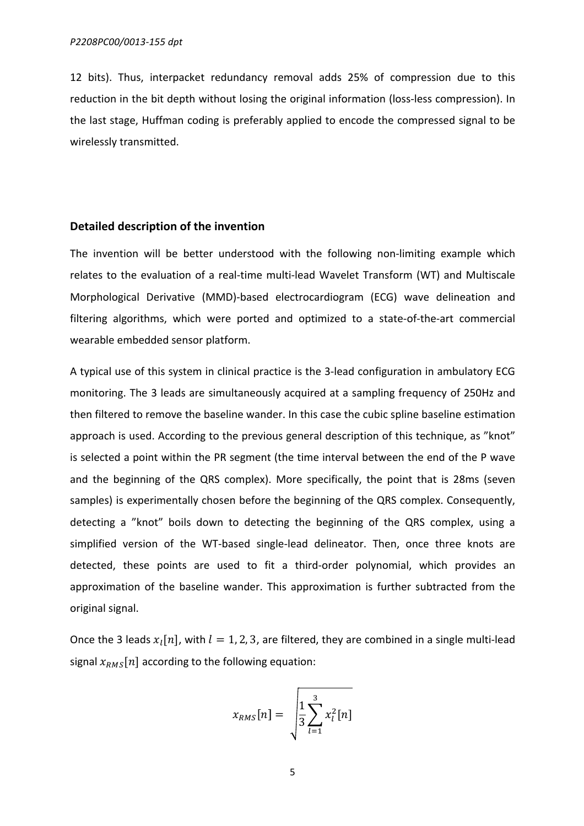12 bits). Thus, interpacket redundancy removal adds 25% of compression due to this reduction in the bit depth without losing the original information (loss-less compression). In the last stage, Huffman coding is preferably applied to encode the compressed signal to be wirelessly transmitted.

### **Detailed description of the invention**

The invention will be better understood with the following non-limiting example which relates to the evaluation of a real-time multi-lead Wavelet Transform (WT) and Multiscale Morphological Derivative (MMD)-based electrocardiogram (ECG) wave delineation and filtering algorithms, which were ported and optimized to a state-of-the-art commercial wearable embedded sensor platform.

A typical use of this system in clinical practice is the 3-lead configuration in ambulatory ECG monitoring. The 3 leads are simultaneously acquired at a sampling frequency of 250Hz and then filtered to remove the baseline wander. In this case the cubic spline baseline estimation approach is used. According to the previous general description of this technique, as "knot" is selected a point within the PR segment (the time interval between the end of the P wave and the beginning of the QRS complex). More specifically, the point that is 28ms (seven samples) is experimentally chosen before the beginning of the QRS complex. Consequently, detecting a "knot" boils down to detecting the beginning of the QRS complex, using a simplified version of the WT-based single-lead delineator. Then, once three knots are detected, these points are used to fit a third-order polynomial, which provides an approximation of the baseline wander. This approximation is further subtracted from the original signal.

Once the 3 leads  $x_i[n]$ , with  $l = 1, 2, 3$ , are filtered, they are combined in a single multi-lead signal  $x_{RMS}[n]$  according to the following equation:

$$
x_{RMS}[n] = \sqrt{\frac{1}{3} \sum_{l=1}^{3} x_l^2[n]}
$$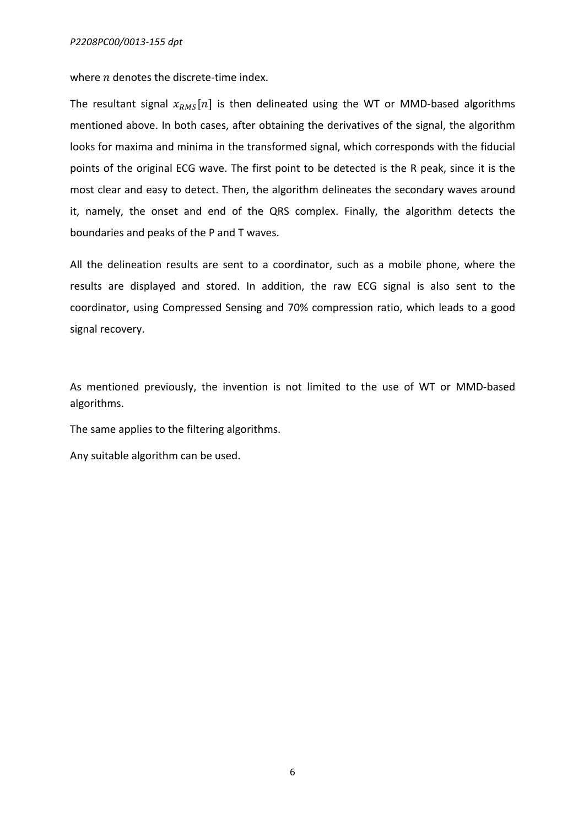where  $n$  denotes the discrete-time index.

The resultant signal  $x_{RMS}[n]$  is then delineated using the WT or MMD-based algorithms mentioned above. In both cases, after obtaining the derivatives of the signal, the algorithm looks for maxima and minima in the transformed signal, which corresponds with the fiducial points of the original ECG wave. The first point to be detected is the R peak, since it is the most clear and easy to detect. Then, the algorithm delineates the secondary waves around it, namely, the onset and end of the QRS complex. Finally, the algorithm detects the boundaries and peaks of the P and T waves.

All the delineation results are sent to a coordinator, such as a mobile phone, where the results are displayed and stored. In addition, the raw ECG signal is also sent to the coordinator, using Compressed Sensing and 70% compression ratio, which leads to a good signal recovery.

As mentioned previously, the invention is not limited to the use of WT or MMD-based algorithms. 

The same applies to the filtering algorithms.

Any suitable algorithm can be used.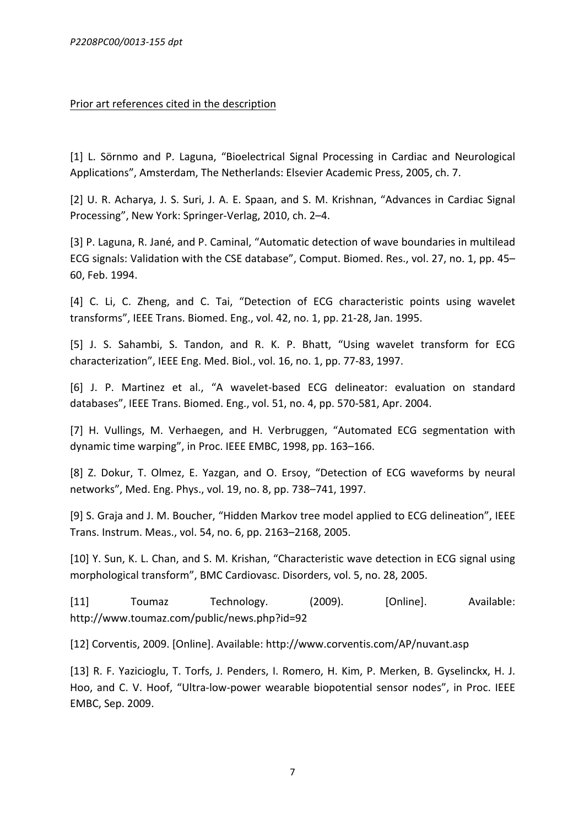### Prior art references cited in the description

[1] L. Sörnmo and P. Laguna, "Bioelectrical Signal Processing in Cardiac and Neurological Applications", Amsterdam, The Netherlands: Elsevier Academic Press, 2005, ch. 7.

[2] U. R. Acharya, J. S. Suri, J. A. E. Spaan, and S. M. Krishnan, "Advances in Cardiac Signal Processing", New York: Springer-Verlag, 2010, ch. 2–4.

[3] P. Laguna, R. Jané, and P. Caminal, "Automatic detection of wave boundaries in multilead ECG signals: Validation with the CSE database", Comput. Biomed. Res., vol. 27, no. 1, pp. 45– 60, Feb. 1994.

[4] C. Li, C. Zheng, and C. Tai, "Detection of ECG characteristic points using wavelet transforms", IEEE Trans. Biomed. Eng., vol. 42, no. 1, pp. 21-28, Jan. 1995.

[5] J. S. Sahambi, S. Tandon, and R. K. P. Bhatt, "Using wavelet transform for ECG characterization", IEEE Eng. Med. Biol., vol. 16, no. 1, pp. 77-83, 1997.

[6] J. P. Martinez et al., "A wavelet-based ECG delineator: evaluation on standard databases", IEEE Trans. Biomed. Eng., vol. 51, no. 4, pp. 570-581, Apr. 2004.

[7] H. Vullings, M. Verhaegen, and H. Verbruggen, "Automated ECG segmentation with dynamic time warping", in Proc. IEEE EMBC, 1998, pp. 163-166.

[8] Z. Dokur, T. Olmez, E. Yazgan, and O. Ersoy, "Detection of ECG waveforms by neural networks", Med. Eng. Phys., vol. 19, no. 8, pp. 738-741, 1997.

[9] S. Graja and J. M. Boucher, "Hidden Markov tree model applied to ECG delineation", IEEE Trans. Instrum. Meas., vol. 54, no. 6, pp. 2163-2168, 2005.

[10] Y. Sun, K. L. Chan, and S. M. Krishan, "Characteristic wave detection in ECG signal using morphological transform", BMC Cardiovasc. Disorders, vol. 5, no. 28, 2005.

[11] Toumaz Technology. (2009). [Online]. Available: http://www.toumaz.com/public/news.php?id=92

[12] Corventis, 2009. [Online]. Available: http://www.corventis.com/AP/nuvant.asp

[13] R. F. Yazicioglu, T. Torfs, J. Penders, I. Romero, H. Kim, P. Merken, B. Gyselinckx, H. J. Hoo, and C. V. Hoof, "Ultra-low-power wearable biopotential sensor nodes", in Proc. IEEE EMBC, Sep. 2009.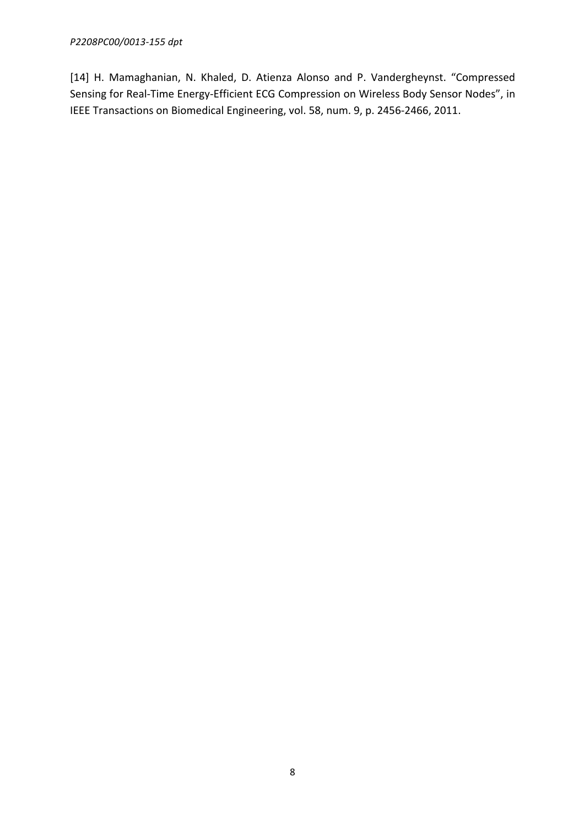[14] H. Mamaghanian, N. Khaled, D. Atienza Alonso and P. Vandergheynst. "Compressed Sensing for Real-Time Energy-Efficient ECG Compression on Wireless Body Sensor Nodes", in IEEE Transactions on Biomedical Engineering, vol. 58, num. 9, p. 2456-2466, 2011.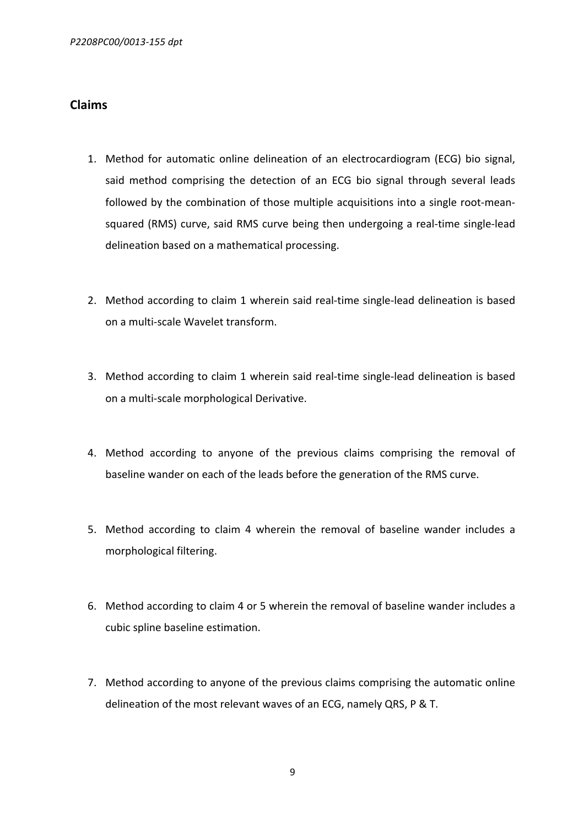## **Claims**

- 1. Method for automatic online delineation of an electrocardiogram (ECG) bio signal, said method comprising the detection of an ECG bio signal through several leads followed by the combination of those multiple acquisitions into a single root-meansquared (RMS) curve, said RMS curve being then undergoing a real-time single-lead delineation based on a mathematical processing.
- 2. Method according to claim 1 wherein said real-time single-lead delineation is based on a multi-scale Wavelet transform.
- 3. Method according to claim 1 wherein said real-time single-lead delineation is based on a multi-scale morphological Derivative.
- 4. Method according to anyone of the previous claims comprising the removal of baseline wander on each of the leads before the generation of the RMS curve.
- 5. Method according to claim 4 wherein the removal of baseline wander includes a morphological filtering.
- 6. Method according to claim 4 or 5 wherein the removal of baseline wander includes a cubic spline baseline estimation.
- 7. Method according to anyone of the previous claims comprising the automatic online delineation of the most relevant waves of an ECG, namely QRS, P & T.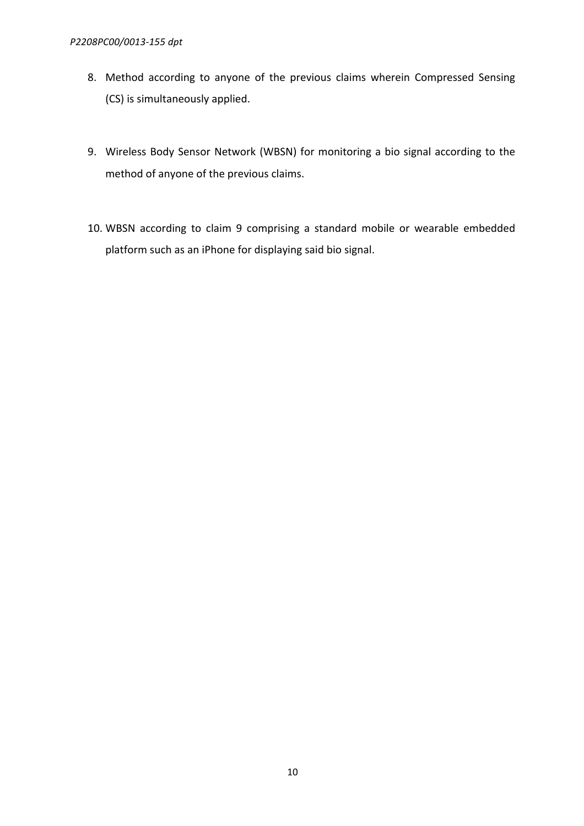- 8. Method according to anyone of the previous claims wherein Compressed Sensing (CS) is simultaneously applied.
- 9. Wireless Body Sensor Network (WBSN) for monitoring a bio signal according to the method of anyone of the previous claims.
- 10. WBSN according to claim 9 comprising a standard mobile or wearable embedded platform such as an iPhone for displaying said bio signal.